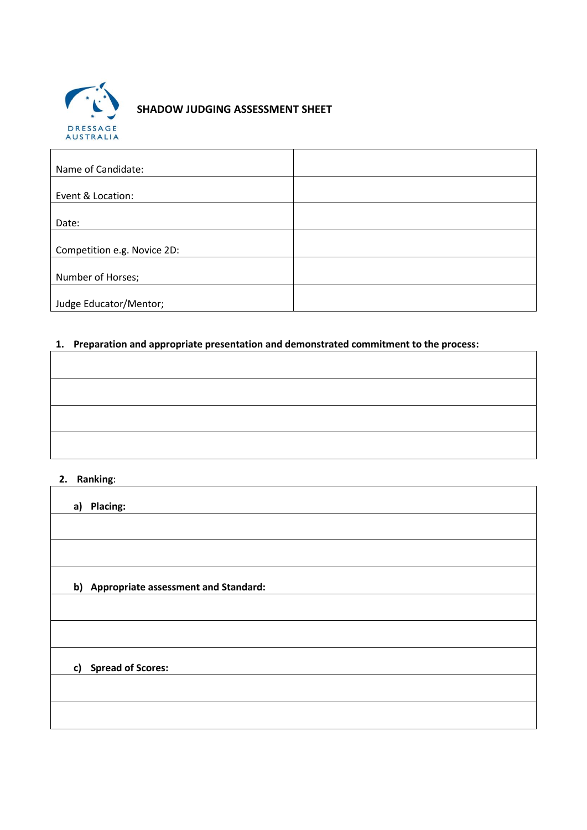

## **SHADOW JUDGING ASSESSMENT SHEET**

| Name of Candidate:          |  |
|-----------------------------|--|
|                             |  |
| Event & Location:           |  |
|                             |  |
| Date:                       |  |
|                             |  |
| Competition e.g. Novice 2D: |  |
|                             |  |
| Number of Horses;           |  |
|                             |  |
| Judge Educator/Mentor;      |  |

# **1. Preparation and appropriate presentation and demonstrated commitment to the process:**

 $\overline{\mathbf{1}}$ 

#### **2. Ranking**:

| a) Placing:                             |
|-----------------------------------------|
|                                         |
|                                         |
| b) Appropriate assessment and Standard: |
|                                         |
|                                         |
| c) Spread of Scores:                    |
|                                         |
|                                         |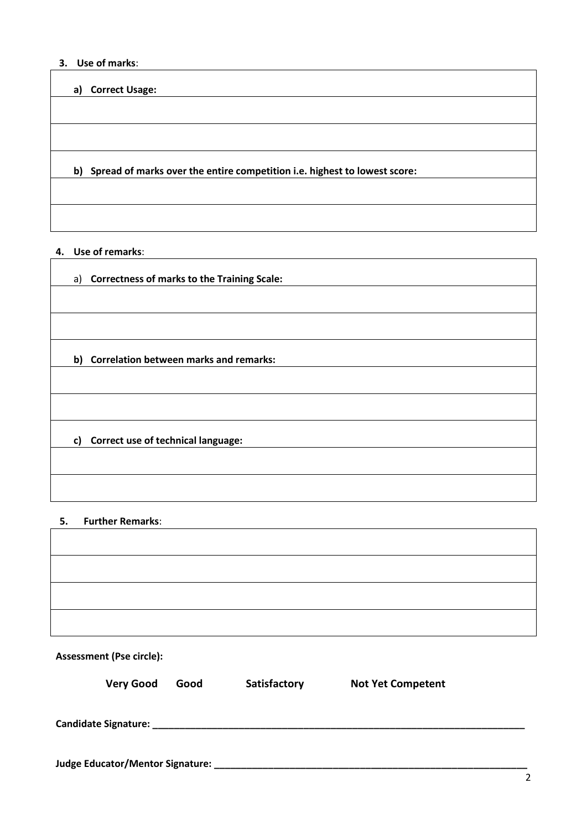### **3. Use of marks**:

#### **a) Correct Usage:**

**b) Spread of marks over the entire competition i.e. highest to lowest score:**

#### **4. Use of remarks**:

| a) Correctness of marks to the Training Scale: |
|------------------------------------------------|
|                                                |
|                                                |
| b) Correlation between marks and remarks:      |
|                                                |
|                                                |
| c) Correct use of technical language:          |
|                                                |
|                                                |

#### **5. Further Remarks**:

 $\mathsf{r}$ 

| <b>Assessment (Pse circle):</b>  |      |              |                          |  |  |
|----------------------------------|------|--------------|--------------------------|--|--|
| <b>Very Good</b>                 | Good | Satisfactory | <b>Not Yet Competent</b> |  |  |
|                                  |      |              |                          |  |  |
| Judge Educator/Mentor Signature: |      |              |                          |  |  |

┓